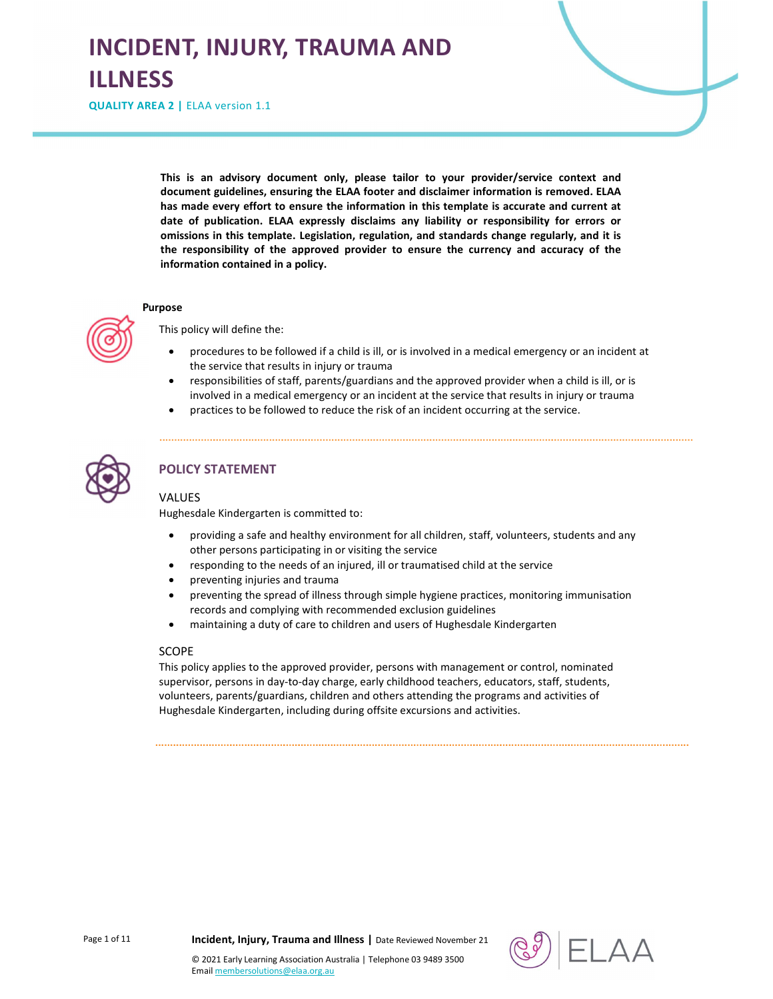# INCIDENT, INJURY, TRAUMA AND ILLNESS

QUALITY AREA 2 | ELAA version 1.1

This is an advisory document only, please tailor to your provider/service context and document guidelines, ensuring the ELAA footer and disclaimer information is removed. ELAA has made every effort to ensure the information in this template is accurate and current at date of publication. ELAA expressly disclaims any liability or responsibility for errors or omissions in this template. Legislation, regulation, and standards change regularly, and it is the responsibility of the approved provider to ensure the currency and accuracy of the information contained in a policy.

#### Purpose

This policy will define the:

- procedures to be followed if a child is ill, or is involved in a medical emergency or an incident at the service that results in injury or trauma
- responsibilities of staff, parents/guardians and the approved provider when a child is ill, or is involved in a medical emergency or an incident at the service that results in injury or trauma
- practices to be followed to reduce the risk of an incident occurring at the service.



## POLICY STATEMENT

#### VALUES

Hughesdale Kindergarten is committed to:

- providing a safe and healthy environment for all children, staff, volunteers, students and any other persons participating in or visiting the service
- responding to the needs of an injured, ill or traumatised child at the service
- preventing injuries and trauma
- preventing the spread of illness through simple hygiene practices, monitoring immunisation records and complying with recommended exclusion guidelines
- maintaining a duty of care to children and users of Hughesdale Kindergarten

#### **SCOPE**

This policy applies to the approved provider, persons with management or control, nominated supervisor, persons in day-to-day charge, early childhood teachers, educators, staff, students, volunteers, parents/guardians, children and others attending the programs and activities of Hughesdale Kindergarten, including during offsite excursions and activities.

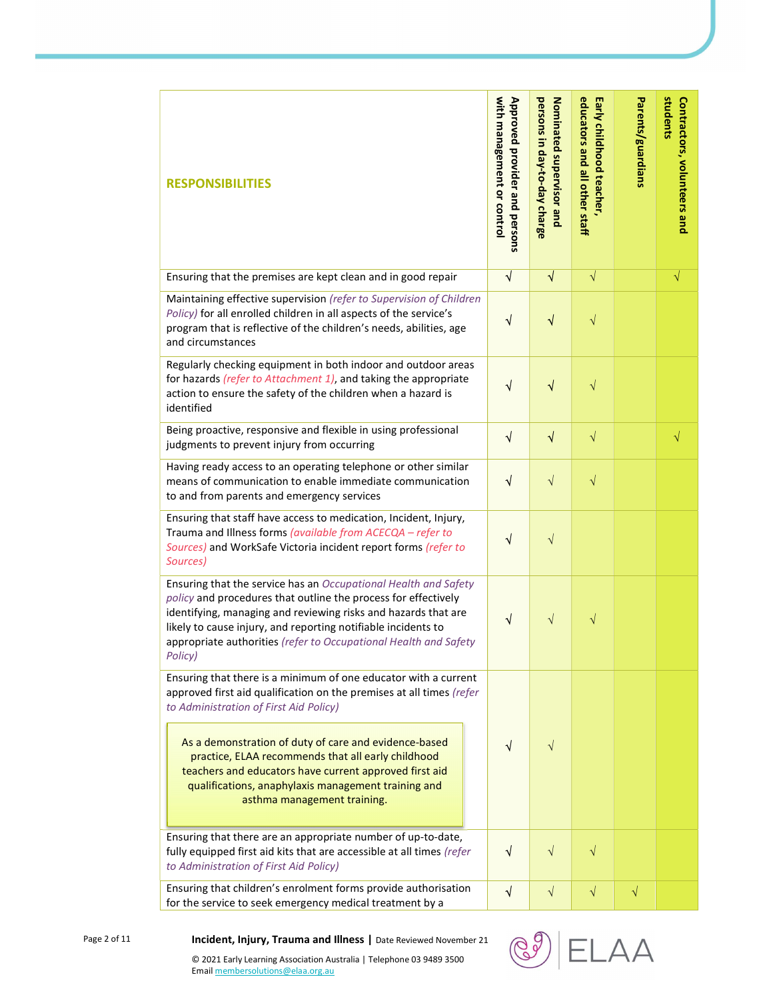| <b>RESPONSIBILITIES</b>                                                                                                                                                                                                                                                                                                                                                                                                                          | Approved provider and persons<br>with management or control | persons in day-to-day charge<br>Nominated supervisor and | educators and all other staff<br>Early childhood teacher, | Parents/guardians | students<br>Contractors, volunteers and |
|--------------------------------------------------------------------------------------------------------------------------------------------------------------------------------------------------------------------------------------------------------------------------------------------------------------------------------------------------------------------------------------------------------------------------------------------------|-------------------------------------------------------------|----------------------------------------------------------|-----------------------------------------------------------|-------------------|-----------------------------------------|
| Ensuring that the premises are kept clean and in good repair                                                                                                                                                                                                                                                                                                                                                                                     | $\sqrt{ }$                                                  | $\sqrt{}$                                                | $\sqrt{}$                                                 |                   | $\sqrt{}$                               |
| Maintaining effective supervision (refer to Supervision of Children<br>Policy) for all enrolled children in all aspects of the service's<br>program that is reflective of the children's needs, abilities, age<br>and circumstances                                                                                                                                                                                                              | $\sqrt{}$                                                   | $\sqrt{}$                                                | $\sqrt{}$                                                 |                   |                                         |
| Regularly checking equipment in both indoor and outdoor areas<br>for hazards (refer to Attachment 1), and taking the appropriate<br>action to ensure the safety of the children when a hazard is<br>identified                                                                                                                                                                                                                                   | √                                                           | $\sqrt{}$                                                | $\sqrt{}$                                                 |                   |                                         |
| Being proactive, responsive and flexible in using professional<br>judgments to prevent injury from occurring                                                                                                                                                                                                                                                                                                                                     | $\sqrt{}$                                                   | $\sqrt{}$                                                | $\sqrt{}$                                                 |                   | $\sqrt{}$                               |
| Having ready access to an operating telephone or other similar<br>means of communication to enable immediate communication<br>to and from parents and emergency services                                                                                                                                                                                                                                                                         | $\sqrt{ }$                                                  | $\sqrt{}$                                                | $\sqrt{}$                                                 |                   |                                         |
| Ensuring that staff have access to medication, Incident, Injury,<br>Trauma and Illness forms (available from ACECQA - refer to<br>Sources) and WorkSafe Victoria incident report forms (refer to<br>Sources)                                                                                                                                                                                                                                     | $\sqrt{}$                                                   | $\sqrt{}$                                                |                                                           |                   |                                         |
| Ensuring that the service has an Occupational Health and Safety<br>policy and procedures that outline the process for effectively<br>identifying, managing and reviewing risks and hazards that are<br>likely to cause injury, and reporting notifiable incidents to<br>appropriate authorities (refer to Occupational Health and Safety<br>Policy)                                                                                              | V                                                           | $\sqrt{}$                                                | $\sqrt{}$                                                 |                   |                                         |
| Ensuring that there is a minimum of one educator with a current<br>approved first aid qualification on the premises at all times (refer<br>to Administration of First Aid Policy)<br>As a demonstration of duty of care and evidence-based<br>practice, ELAA recommends that all early childhood<br>teachers and educators have current approved first aid<br>qualifications, anaphylaxis management training and<br>asthma management training. | √                                                           | $\sqrt{ }$                                               |                                                           |                   |                                         |
| Ensuring that there are an appropriate number of up-to-date,<br>fully equipped first aid kits that are accessible at all times (refer<br>to Administration of First Aid Policy)                                                                                                                                                                                                                                                                  | $\sqrt{ }$                                                  | $\sqrt{ }$                                               | $\sqrt{}$                                                 |                   |                                         |
| Ensuring that children's enrolment forms provide authorisation<br>for the service to seek emergency medical treatment by a                                                                                                                                                                                                                                                                                                                       | √                                                           | $\sqrt{}$                                                | $\sqrt{}$                                                 | $\sqrt{}$         |                                         |



Page 2 of 11 **Incident, Injury, Trauma and Illness** | Date Reviewed November 21

© 2021 Early Learning Association Australia | Telephone 03 9489 3500 Email membersolutions@elaa.org.au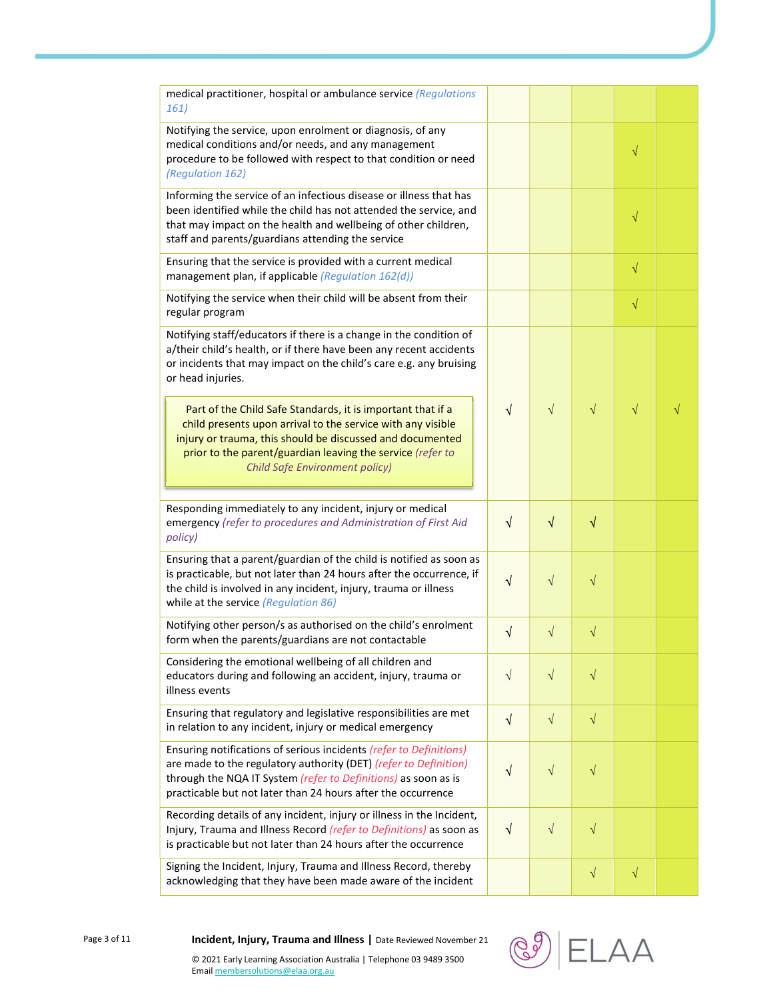| medical practitioner, hospital or ambulance service (Regulations<br>161)                                                                                                                                                                                                                       |            |            |           |           |  |
|------------------------------------------------------------------------------------------------------------------------------------------------------------------------------------------------------------------------------------------------------------------------------------------------|------------|------------|-----------|-----------|--|
| Notifying the service, upon enrolment or diagnosis, of any<br>medical conditions and/or needs, and any management<br>procedure to be followed with respect to that condition or need<br>(Regulation 162)                                                                                       |            |            |           | $\sqrt{}$ |  |
| Informing the service of an infectious disease or illness that has<br>been identified while the child has not attended the service, and<br>that may impact on the health and wellbeing of other children,<br>staff and parents/guardians attending the service                                 |            |            |           | $\sqrt{}$ |  |
| Ensuring that the service is provided with a current medical<br>management plan, if applicable (Regulation 162(d))                                                                                                                                                                             |            |            |           | $\sqrt{}$ |  |
| Notifying the service when their child will be absent from their<br>regular program                                                                                                                                                                                                            |            |            |           | $\sqrt{}$ |  |
| Notifying staff/educators if there is a change in the condition of<br>a/their child's health, or if there have been any recent accidents<br>or incidents that may impact on the child's care e.g. any bruising<br>or head injuries.                                                            |            |            |           |           |  |
| Part of the Child Safe Standards, it is important that if a<br>child presents upon arrival to the service with any visible<br>injury or trauma, this should be discussed and documented<br>prior to the parent/guardian leaving the service (refer to<br><b>Child Safe Environment policy)</b> | $\sqrt{ }$ | $\sqrt{}$  | $\sqrt{}$ | $\sqrt{}$ |  |
| Responding immediately to any incident, injury or medical<br>emergency (refer to procedures and Administration of First Aid<br>policy)                                                                                                                                                         | $\sqrt{ }$ | $\sqrt{ }$ | $\sqrt{}$ |           |  |
| Ensuring that a parent/guardian of the child is notified as soon as<br>is practicable, but not later than 24 hours after the occurrence, if<br>the child is involved in any incident, injury, trauma or illness<br>while at the service (Regulation 86)                                        | $\sqrt{ }$ | $\sqrt{}$  | $\sqrt{}$ |           |  |
| Notifying other person/s as authorised on the child's enrolment<br>form when the parents/guardians are not contactable                                                                                                                                                                         | V          | $\sqrt{}$  | $\sqrt{}$ |           |  |
| Considering the emotional wellbeing of all children and<br>educators during and following an accident, injury, trauma or<br>illness events                                                                                                                                                     | $\sqrt{}$  | $\sqrt{}$  | $\sqrt{}$ |           |  |
| Ensuring that regulatory and legislative responsibilities are met<br>in relation to any incident, injury or medical emergency                                                                                                                                                                  | $\sqrt{ }$ | $\sqrt{ }$ | $\sqrt{}$ |           |  |
| Ensuring notifications of serious incidents (refer to Definitions)<br>are made to the regulatory authority (DET) (refer to Definition)<br>through the NQA IT System (refer to Definitions) as soon as is<br>practicable but not later than 24 hours after the occurrence                       | √          | $\sqrt{}$  | $\sqrt{}$ |           |  |
| Recording details of any incident, injury or illness in the Incident,<br>Injury, Trauma and Illness Record (refer to Definitions) as soon as<br>is practicable but not later than 24 hours after the occurrence                                                                                | V          | $\sqrt{}$  | $\sqrt{}$ |           |  |
| Signing the Incident, Injury, Trauma and Illness Record, thereby<br>acknowledging that they have been made aware of the incident                                                                                                                                                               |            |            | $\sqrt{}$ | $\sqrt{}$ |  |

Page 3 of 11 **Incident, Injury, Trauma and Illness** | Date Reviewed November 21

© 2021 Early Learning Association Australia | Telephone 03 9489 3500 Email membersolutions@elaa.org.au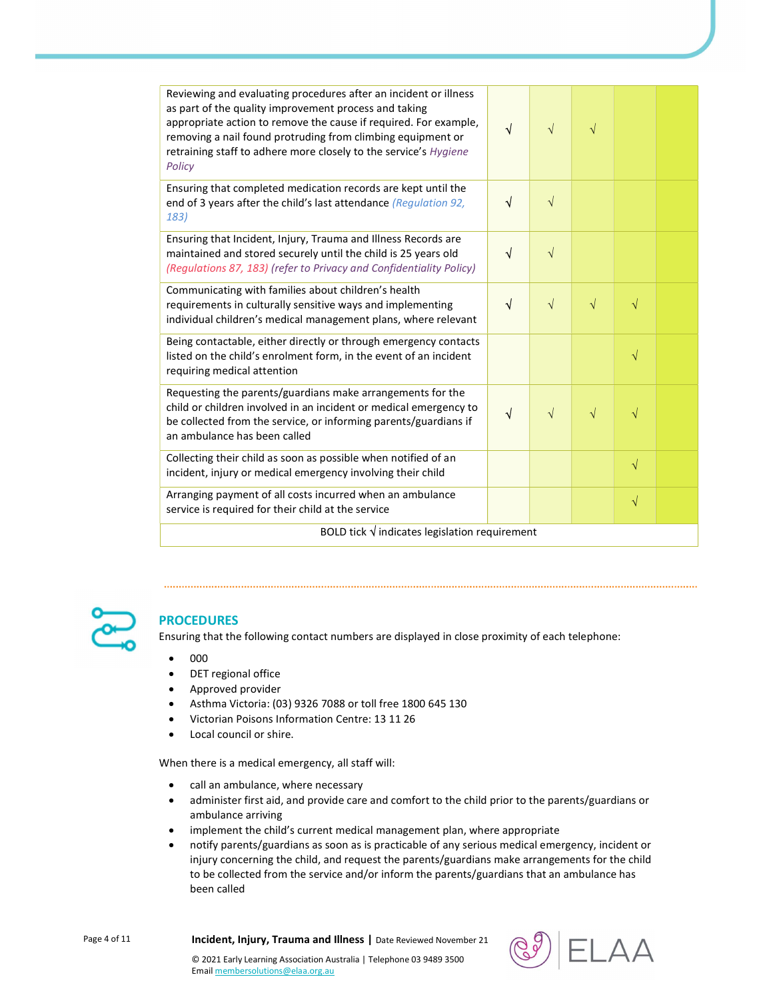| Reviewing and evaluating procedures after an incident or illness<br>as part of the quality improvement process and taking<br>appropriate action to remove the cause if required. For example,<br>removing a nail found protruding from climbing equipment or<br>retraining staff to adhere more closely to the service's Hygiene<br>Policy | $\sqrt{ }$ | $\sqrt{}$ | $\sqrt{}$ |           |  |  |
|--------------------------------------------------------------------------------------------------------------------------------------------------------------------------------------------------------------------------------------------------------------------------------------------------------------------------------------------|------------|-----------|-----------|-----------|--|--|
| Ensuring that completed medication records are kept until the<br>end of 3 years after the child's last attendance (Regulation 92,<br>183)                                                                                                                                                                                                  | $\sqrt{ }$ | $\sqrt{}$ |           |           |  |  |
| Ensuring that Incident, Injury, Trauma and Illness Records are<br>maintained and stored securely until the child is 25 years old<br>(Regulations 87, 183) (refer to Privacy and Confidentiality Policy)                                                                                                                                    | $\sqrt{ }$ | $\sqrt{}$ |           |           |  |  |
| Communicating with families about children's health<br>requirements in culturally sensitive ways and implementing<br>individual children's medical management plans, where relevant                                                                                                                                                        | $\sqrt{ }$ | $\sqrt{}$ | $\sqrt{}$ | $\sqrt{}$ |  |  |
| Being contactable, either directly or through emergency contacts<br>listed on the child's enrolment form, in the event of an incident<br>requiring medical attention                                                                                                                                                                       |            |           |           | $\sqrt{}$ |  |  |
| Requesting the parents/guardians make arrangements for the<br>child or children involved in an incident or medical emergency to<br>be collected from the service, or informing parents/guardians if<br>an ambulance has been called                                                                                                        | √          | $\sqrt{}$ | $\sqrt{}$ | V         |  |  |
| Collecting their child as soon as possible when notified of an<br>incident, injury or medical emergency involving their child                                                                                                                                                                                                              |            |           |           | $\sqrt{}$ |  |  |
| Arranging payment of all costs incurred when an ambulance<br>service is required for their child at the service                                                                                                                                                                                                                            |            |           |           | $\sqrt{}$ |  |  |
| BOLD tick $\sqrt{}$ indicates legislation requirement                                                                                                                                                                                                                                                                                      |            |           |           |           |  |  |



## **PROCEDURES**

Ensuring that the following contact numbers are displayed in close proximity of each telephone:

- $\bullet$  000
- DET regional office
- Approved provider
- Asthma Victoria: (03) 9326 7088 or toll free 1800 645 130
- Victorian Poisons Information Centre: 13 11 26
- Local council or shire.

When there is a medical emergency, all staff will:

- call an ambulance, where necessary
- administer first aid, and provide care and comfort to the child prior to the parents/guardians or ambulance arriving
- implement the child's current medical management plan, where appropriate
- notify parents/guardians as soon as is practicable of any serious medical emergency, incident or injury concerning the child, and request the parents/guardians make arrangements for the child to be collected from the service and/or inform the parents/guardians that an ambulance has been called

Page 4 of 11 **Incident, Injury, Trauma and Illness** | Date Reviewed November 21

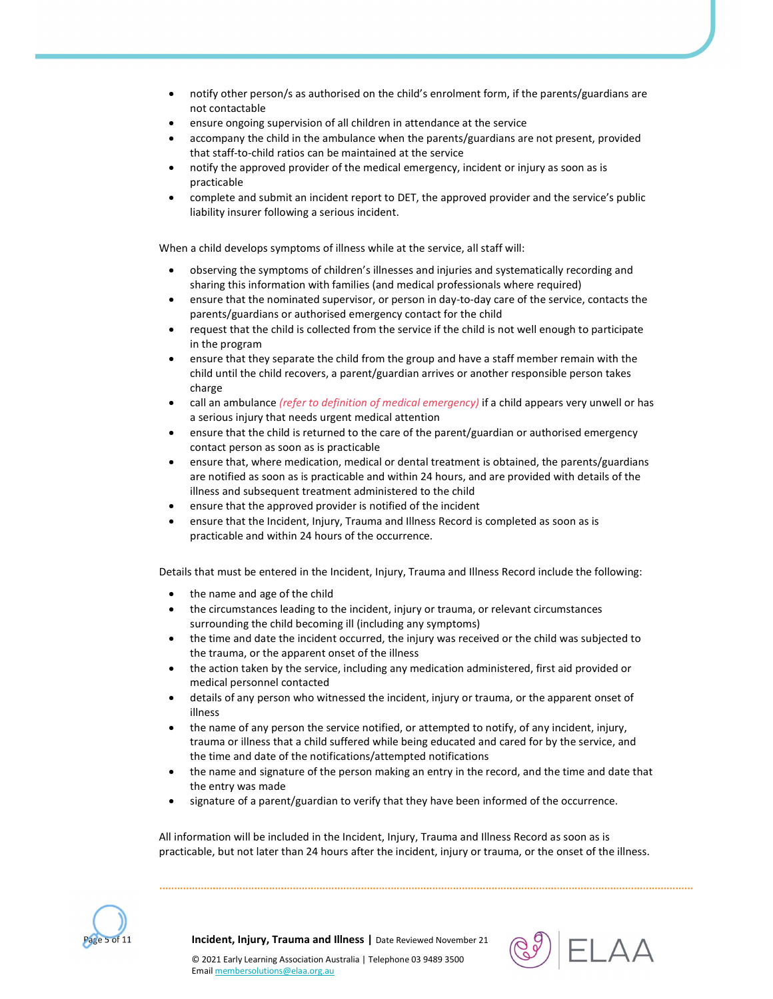- notify other person/s as authorised on the child's enrolment form, if the parents/guardians are not contactable
- ensure ongoing supervision of all children in attendance at the service
- accompany the child in the ambulance when the parents/guardians are not present, provided that staff-to-child ratios can be maintained at the service
- notify the approved provider of the medical emergency, incident or injury as soon as is practicable
- complete and submit an incident report to DET, the approved provider and the service's public liability insurer following a serious incident.

When a child develops symptoms of illness while at the service, all staff will:

- observing the symptoms of children's illnesses and injuries and systematically recording and sharing this information with families (and medical professionals where required)
- ensure that the nominated supervisor, or person in day-to-day care of the service, contacts the parents/guardians or authorised emergency contact for the child
- request that the child is collected from the service if the child is not well enough to participate in the program
- ensure that they separate the child from the group and have a staff member remain with the child until the child recovers, a parent/guardian arrives or another responsible person takes charge
- call an ambulance (refer to definition of medical emergency) if a child appears very unwell or has a serious injury that needs urgent medical attention
- ensure that the child is returned to the care of the parent/guardian or authorised emergency contact person as soon as is practicable
- ensure that, where medication, medical or dental treatment is obtained, the parents/guardians are notified as soon as is practicable and within 24 hours, and are provided with details of the illness and subsequent treatment administered to the child
- ensure that the approved provider is notified of the incident
- ensure that the Incident, Injury, Trauma and Illness Record is completed as soon as is practicable and within 24 hours of the occurrence.

Details that must be entered in the Incident, Injury, Trauma and Illness Record include the following:

- the name and age of the child
- the circumstances leading to the incident, injury or trauma, or relevant circumstances surrounding the child becoming ill (including any symptoms)
- the time and date the incident occurred, the injury was received or the child was subjected to the trauma, or the apparent onset of the illness
- the action taken by the service, including any medication administered, first aid provided or medical personnel contacted
- details of any person who witnessed the incident, injury or trauma, or the apparent onset of illness
- the name of any person the service notified, or attempted to notify, of any incident, injury, trauma or illness that a child suffered while being educated and cared for by the service, and the time and date of the notifications/attempted notifications
- the name and signature of the person making an entry in the record, and the time and date that the entry was made
- signature of a parent/guardian to verify that they have been informed of the occurrence.

All information will be included in the Incident, Injury, Trauma and Illness Record as soon as is practicable, but not later than 24 hours after the incident, injury or trauma, or the onset of the illness.



Incident, Injury, Trauma and Illness | Date Reviewed November 21

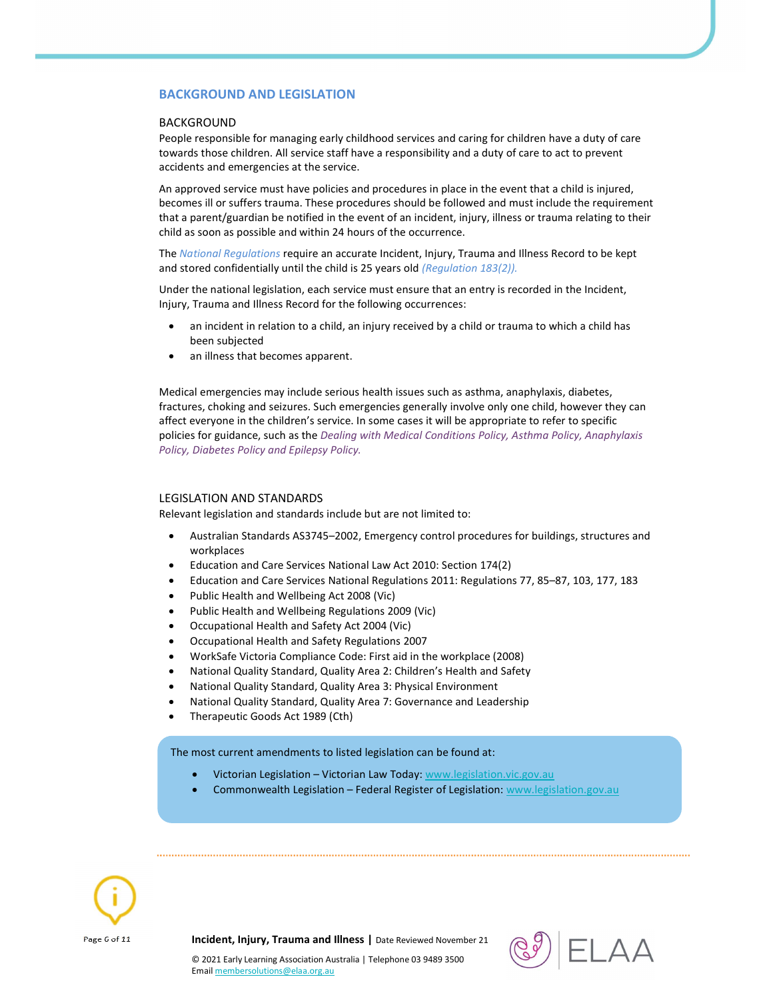#### BACKGROUND AND LEGISLATION

#### BACKGROUND

People responsible for managing early childhood services and caring for children have a duty of care towards those children. All service staff have a responsibility and a duty of care to act to prevent accidents and emergencies at the service.

An approved service must have policies and procedures in place in the event that a child is injured, becomes ill or suffers trauma. These procedures should be followed and must include the requirement that a parent/guardian be notified in the event of an incident, injury, illness or trauma relating to their child as soon as possible and within 24 hours of the occurrence.

The National Regulations require an accurate Incident, Injury, Trauma and Illness Record to be kept and stored confidentially until the child is 25 years old (Regulation 183(2)).

Under the national legislation, each service must ensure that an entry is recorded in the Incident, Injury, Trauma and Illness Record for the following occurrences:

- an incident in relation to a child, an injury received by a child or trauma to which a child has been subjected
- an illness that becomes apparent.

Medical emergencies may include serious health issues such as asthma, anaphylaxis, diabetes, fractures, choking and seizures. Such emergencies generally involve only one child, however they can affect everyone in the children's service. In some cases it will be appropriate to refer to specific policies for guidance, such as the Dealing with Medical Conditions Policy, Asthma Policy, Anaphylaxis Policy, Diabetes Policy and Epilepsy Policy.

#### LEGISLATION AND STANDARDS

Relevant legislation and standards include but are not limited to:

- Australian Standards AS3745–2002, Emergency control procedures for buildings, structures and workplaces
- Education and Care Services National Law Act 2010: Section 174(2)
- Education and Care Services National Regulations 2011: Regulations 77, 85–87, 103, 177, 183
- Public Health and Wellbeing Act 2008 (Vic)
- Public Health and Wellbeing Regulations 2009 (Vic)
- Occupational Health and Safety Act 2004 (Vic)
- Occupational Health and Safety Regulations 2007
- WorkSafe Victoria Compliance Code: First aid in the workplace (2008)
- National Quality Standard, Quality Area 2: Children's Health and Safety
- National Quality Standard, Quality Area 3: Physical Environment
- National Quality Standard, Quality Area 7: Governance and Leadership
- Therapeutic Goods Act 1989 (Cth)

The most current amendments to listed legislation can be found at:

- Victorian Legislation Victorian Law Today: www.legislation.vic.gov.au
- Commonwealth Legislation Federal Register of Legislation: www.legislation.gov.au



Page 6 of 11 **Incident, Injury, Trauma and Illness** | Date Reviewed November 21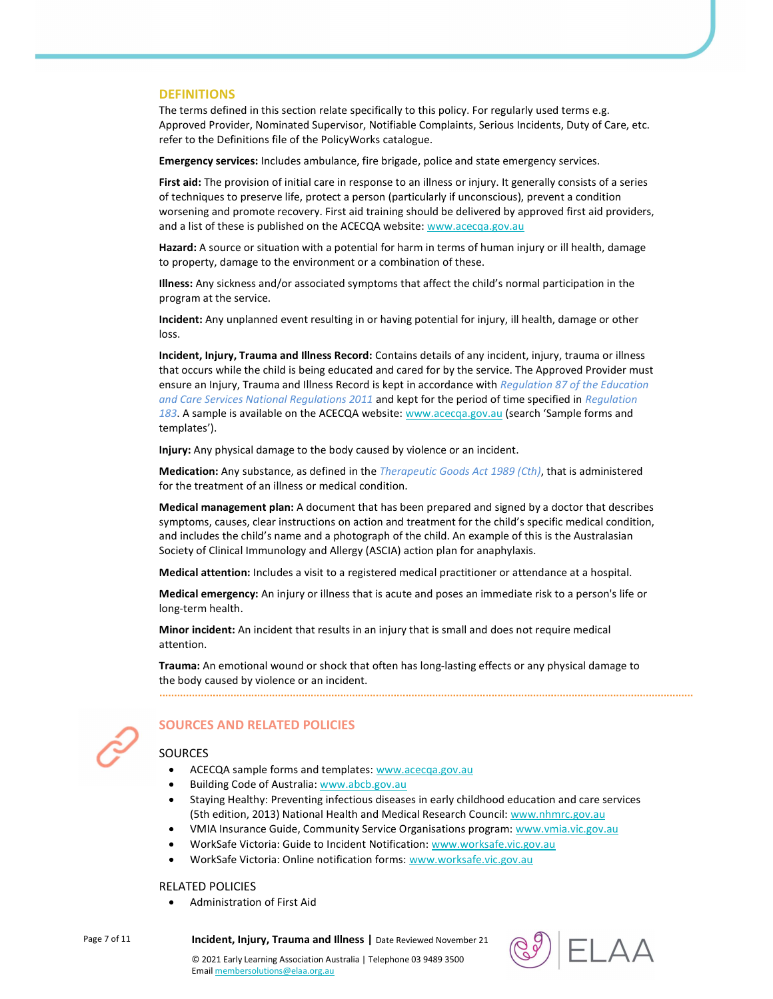#### **DEFINITIONS**

The terms defined in this section relate specifically to this policy. For regularly used terms e.g. Approved Provider, Nominated Supervisor, Notifiable Complaints, Serious Incidents, Duty of Care, etc. refer to the Definitions file of the PolicyWorks catalogue.

Emergency services: Includes ambulance, fire brigade, police and state emergency services.

First aid: The provision of initial care in response to an illness or injury. It generally consists of a series of techniques to preserve life, protect a person (particularly if unconscious), prevent a condition worsening and promote recovery. First aid training should be delivered by approved first aid providers, and a list of these is published on the ACECQA website: www.acecqa.gov.au

Hazard: A source or situation with a potential for harm in terms of human injury or ill health, damage to property, damage to the environment or a combination of these.

Illness: Any sickness and/or associated symptoms that affect the child's normal participation in the program at the service.

Incident: Any unplanned event resulting in or having potential for injury, ill health, damage or other loss.

Incident, Injury, Trauma and Illness Record: Contains details of any incident, injury, trauma or illness that occurs while the child is being educated and cared for by the service. The Approved Provider must ensure an Injury, Trauma and Illness Record is kept in accordance with Regulation 87 of the Education and Care Services National Regulations 2011 and kept for the period of time specified in Regulation 183. A sample is available on the ACECQA website: www.acecqa.gov.au (search 'Sample forms and templates').

Injury: Any physical damage to the body caused by violence or an incident.

Medication: Any substance, as defined in the Therapeutic Goods Act 1989 (Cth), that is administered for the treatment of an illness or medical condition.

Medical management plan: A document that has been prepared and signed by a doctor that describes symptoms, causes, clear instructions on action and treatment for the child's specific medical condition, and includes the child's name and a photograph of the child. An example of this is the Australasian Society of Clinical Immunology and Allergy (ASCIA) action plan for anaphylaxis.

Medical attention: Includes a visit to a registered medical practitioner or attendance at a hospital.

Medical emergency: An injury or illness that is acute and poses an immediate risk to a person's life or long-term health.

Minor incident: An incident that results in an injury that is small and does not require medical attention.

Trauma: An emotional wound or shock that often has long-lasting effects or any physical damage to the body caused by violence or an incident.



## SOURCES AND RELATED POLICIES

#### **SOURCES**

- ACECQA sample forms and templates: www.acecqa.gov.au
- Building Code of Australia: www.abcb.gov.au
- Staying Healthy: Preventing infectious diseases in early childhood education and care services (5th edition, 2013) National Health and Medical Research Council: www.nhmrc.gov.au
- VMIA Insurance Guide, Community Service Organisations program: www.vmia.vic.gov.au
- WorkSafe Victoria: Guide to Incident Notification: www.worksafe.vic.gov.au
- WorkSafe Victoria: Online notification forms: www.worksafe.vic.gov.au

#### RELATED POLICIES

Administration of First Aid

Page 7 of 11 **Incident, Injury, Trauma and Illness** | Date Reviewed November 21



© 2021 Early Learning Association Australia | Telephone 03 9489 3500 Email membersolutions@elaa.org.au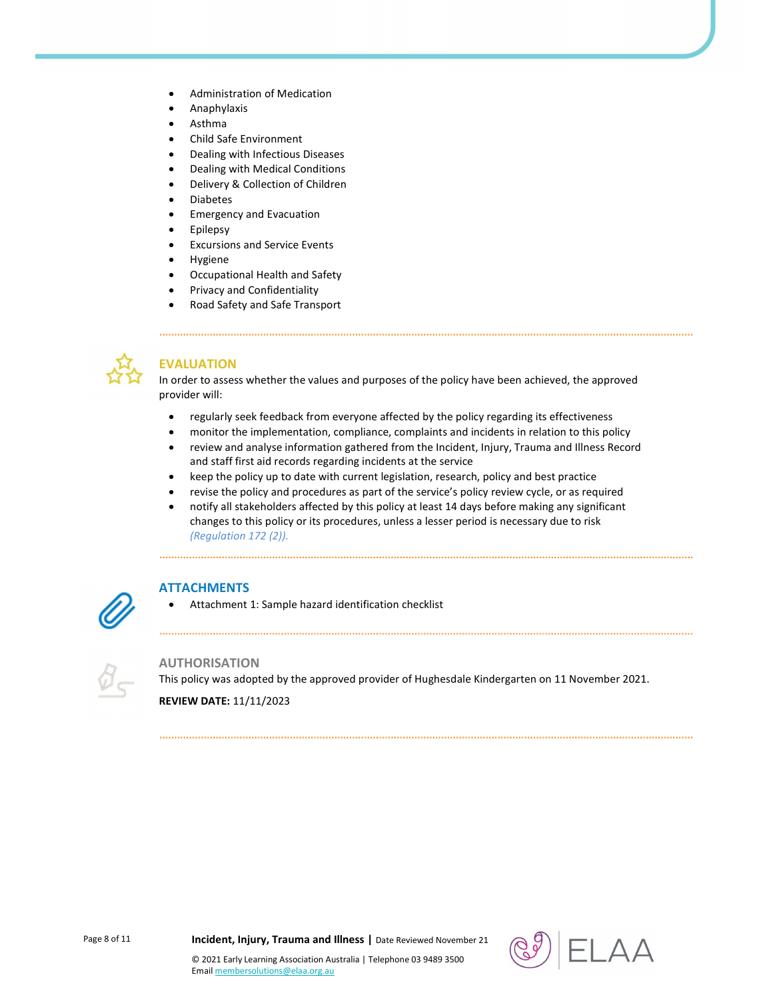- Administration of Medication
- Anaphylaxis
- Asthma
- Child Safe Environment
- Dealing with Infectious Diseases
- Dealing with Medical Conditions
- Delivery & Collection of Children
- Diabetes
- Emergency and Evacuation
- Epilepsy
- Excursions and Service Events
- Hygiene
- Occupational Health and Safety
- Privacy and Confidentiality
- Road Safety and Safe Transport



# EVALUATION

In order to assess whether the values and purposes of the policy have been achieved, the approved provider will:

- regularly seek feedback from everyone affected by the policy regarding its effectiveness
- monitor the implementation, compliance, complaints and incidents in relation to this policy
- review and analyse information gathered from the Incident, Injury, Trauma and Illness Record and staff first aid records regarding incidents at the service
- keep the policy up to date with current legislation, research, policy and best practice
- revise the policy and procedures as part of the service's policy review cycle, or as required
- notify all stakeholders affected by this policy at least 14 days before making any significant changes to this policy or its procedures, unless a lesser period is necessary due to risk (Regulation 172 (2)).



## **ATTACHMENTS**

Attachment 1: Sample hazard identification checklist



### AUTHORISATION

This policy was adopted by the approved provider of Hughesdale Kindergarten on 11 November 2021.

REVIEW DATE: 11/11/2023



© 2021 Early Learning Association Australia | Telephone 03 9489 3500

Email membersolutions@elaa.org.au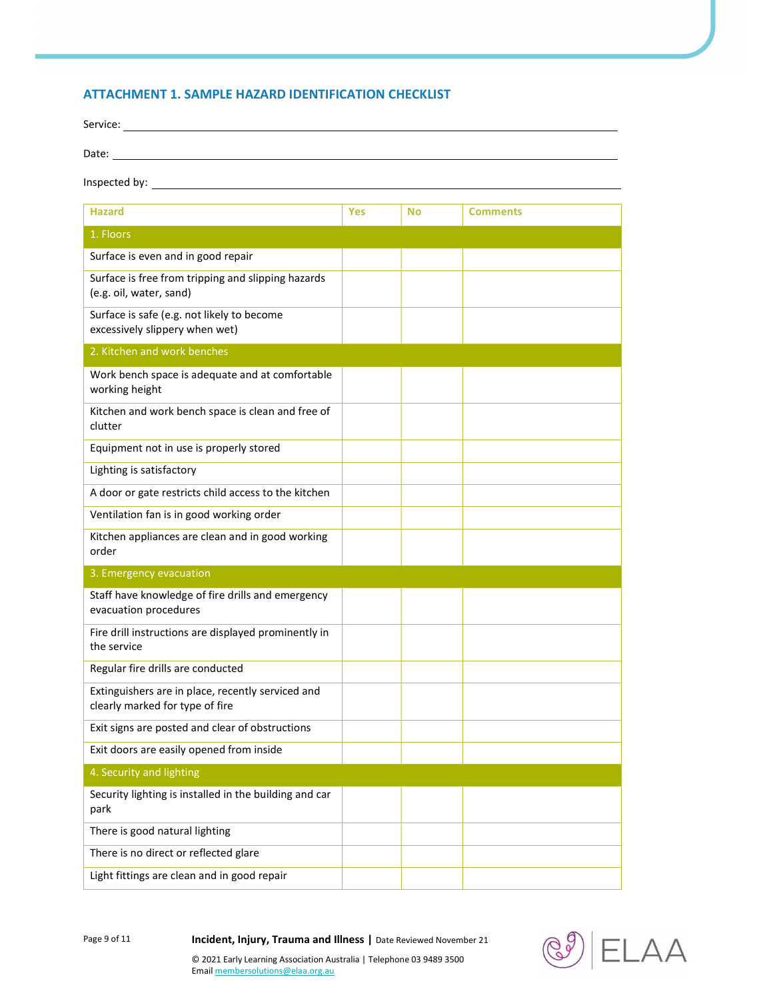## ATTACHMENT 1. SAMPLE HAZARD IDENTIFICATION CHECKLIST

| Service:      |  |  |
|---------------|--|--|
| Date:         |  |  |
|               |  |  |
| Inspected by: |  |  |

| <b>Hazard</b>                                                                        | <b>Yes</b> | <b>No</b> | <b>Comments</b> |
|--------------------------------------------------------------------------------------|------------|-----------|-----------------|
| 1. Floors                                                                            |            |           |                 |
| Surface is even and in good repair                                                   |            |           |                 |
| Surface is free from tripping and slipping hazards<br>(e.g. oil, water, sand)        |            |           |                 |
| Surface is safe (e.g. not likely to become<br>excessively slippery when wet)         |            |           |                 |
| 2. Kitchen and work benches                                                          |            |           |                 |
| Work bench space is adequate and at comfortable<br>working height                    |            |           |                 |
| Kitchen and work bench space is clean and free of<br>clutter                         |            |           |                 |
| Equipment not in use is properly stored                                              |            |           |                 |
| Lighting is satisfactory                                                             |            |           |                 |
| A door or gate restricts child access to the kitchen                                 |            |           |                 |
| Ventilation fan is in good working order                                             |            |           |                 |
| Kitchen appliances are clean and in good working<br>order                            |            |           |                 |
| 3. Emergency evacuation                                                              |            |           |                 |
| Staff have knowledge of fire drills and emergency<br>evacuation procedures           |            |           |                 |
| Fire drill instructions are displayed prominently in<br>the service                  |            |           |                 |
| Regular fire drills are conducted                                                    |            |           |                 |
| Extinguishers are in place, recently serviced and<br>clearly marked for type of fire |            |           |                 |
| Exit signs are posted and clear of obstructions                                      |            |           |                 |
| Exit doors are easily opened from inside                                             |            |           |                 |
| 4. Security and lighting                                                             |            |           |                 |
| Security lighting is installed in the building and car<br>park                       |            |           |                 |
| There is good natural lighting                                                       |            |           |                 |
| There is no direct or reflected glare                                                |            |           |                 |
| Light fittings are clean and in good repair                                          |            |           |                 |

Page 9 of 11 **Incident, Injury, Trauma and Illness** | Date Reviewed November 21

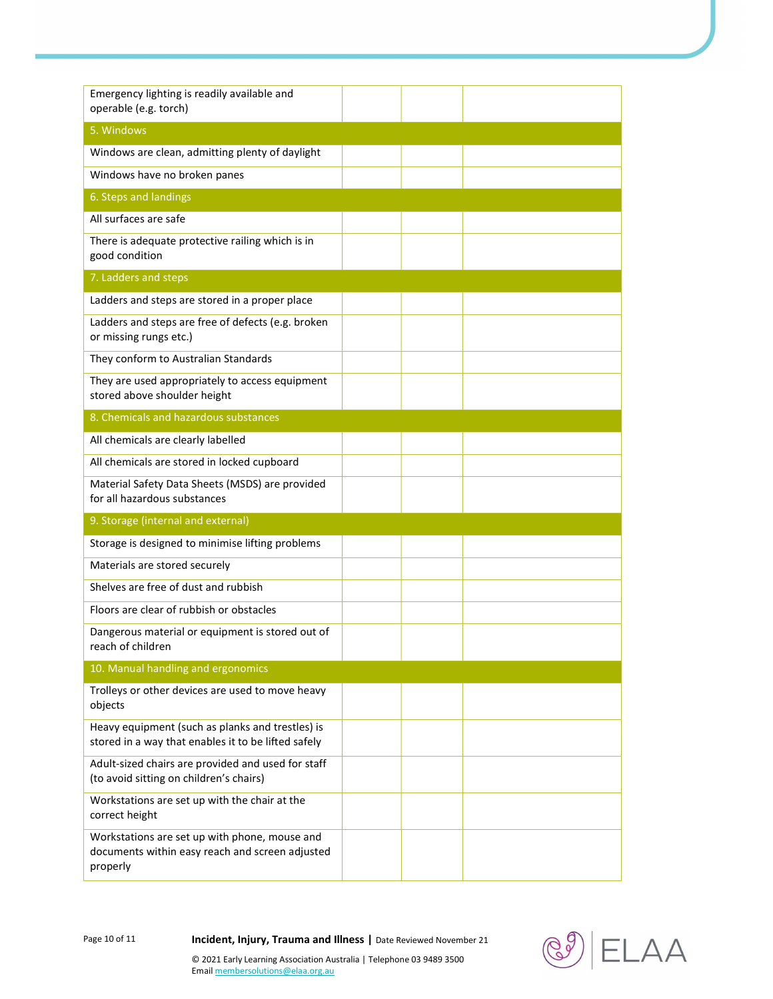| Emergency lighting is readily available and<br>operable (e.g. torch)                                         |  |  |
|--------------------------------------------------------------------------------------------------------------|--|--|
| 5. Windows                                                                                                   |  |  |
| Windows are clean, admitting plenty of daylight                                                              |  |  |
| Windows have no broken panes                                                                                 |  |  |
| 6. Steps and landings                                                                                        |  |  |
| All surfaces are safe                                                                                        |  |  |
| There is adequate protective railing which is in<br>good condition                                           |  |  |
| 7. Ladders and steps                                                                                         |  |  |
| Ladders and steps are stored in a proper place                                                               |  |  |
| Ladders and steps are free of defects (e.g. broken<br>or missing rungs etc.)                                 |  |  |
| They conform to Australian Standards                                                                         |  |  |
| They are used appropriately to access equipment<br>stored above shoulder height                              |  |  |
| 8. Chemicals and hazardous substances                                                                        |  |  |
| All chemicals are clearly labelled                                                                           |  |  |
| All chemicals are stored in locked cupboard                                                                  |  |  |
| Material Safety Data Sheets (MSDS) are provided<br>for all hazardous substances                              |  |  |
| 9. Storage (internal and external)                                                                           |  |  |
| Storage is designed to minimise lifting problems                                                             |  |  |
| Materials are stored securely                                                                                |  |  |
| Shelves are free of dust and rubbish                                                                         |  |  |
| Floors are clear of rubbish or obstacles                                                                     |  |  |
| Dangerous material or equipment is stored out of<br>reach of children                                        |  |  |
| 10. Manual handling and ergonomics                                                                           |  |  |
| Trolleys or other devices are used to move heavy<br>objects                                                  |  |  |
| Heavy equipment (such as planks and trestles) is<br>stored in a way that enables it to be lifted safely      |  |  |
| Adult-sized chairs are provided and used for staff<br>(to avoid sitting on children's chairs)                |  |  |
| Workstations are set up with the chair at the<br>correct height                                              |  |  |
| Workstations are set up with phone, mouse and<br>documents within easy reach and screen adjusted<br>properly |  |  |

Page 10 of 11 **Incident, Injury, Trauma and Illness** | Date Reviewed November 21